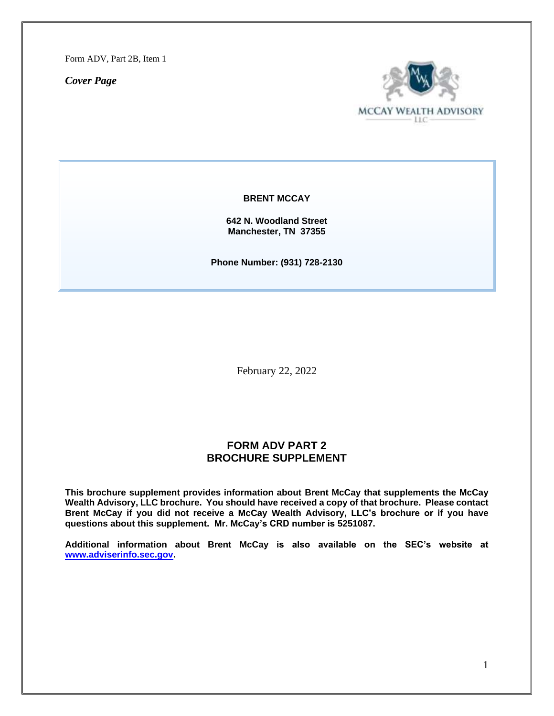Form ADV, Part 2B, Item 1

*Cover Page*



**BRENT MCCAY**

**642 N. Woodland Street Manchester, TN 37355**

**Phone Number: (931) 728-2130**

February 22, 2022

# **FORM ADV PART 2 BROCHURE SUPPLEMENT**

**This brochure supplement provides information about Brent McCay that supplements the McCay Wealth Advisory, LLC brochure. You should have received a copy of that brochure. Please contact Brent McCay if you did not receive a McCay Wealth Advisory, LLC's brochure or if you have questions about this supplement. Mr. McCay's CRD number is 5251087.**

**Additional information about Brent McCay is also available on the SEC's website at [www.adviserinfo.sec.gov.](http://www.adviserinfo.sec.gov/)**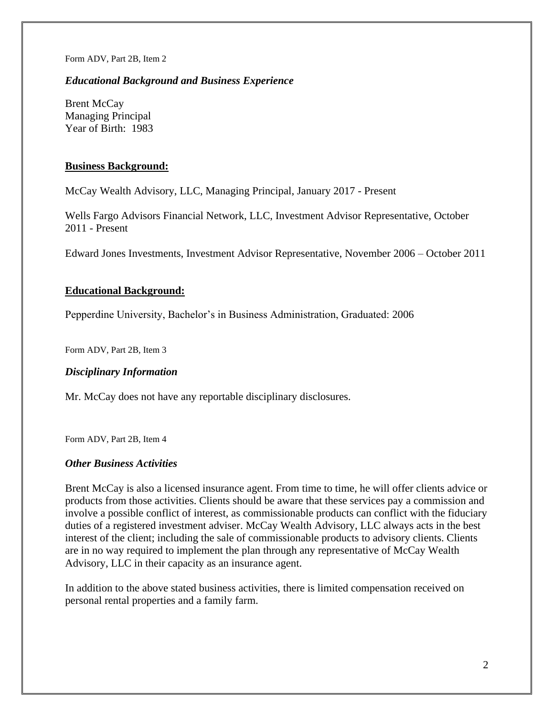Form ADV, Part 2B, Item 2

## *Educational Background and Business Experience*

Brent McCay Managing Principal Year of Birth: 1983

## **Business Background:**

McCay Wealth Advisory, LLC, Managing Principal, January 2017 - Present

Wells Fargo Advisors Financial Network, LLC, Investment Advisor Representative, October 2011 - Present

Edward Jones Investments, Investment Advisor Representative, November 2006 – October 2011

### **Educational Background:**

Pepperdine University, Bachelor's in Business Administration, Graduated: 2006

Form ADV, Part 2B, Item 3

#### *Disciplinary Information*

Mr. McCay does not have any reportable disciplinary disclosures.

Form ADV, Part 2B, Item 4

### *Other Business Activities*

Brent McCay is also a licensed insurance agent. From time to time, he will offer clients advice or products from those activities. Clients should be aware that these services pay a commission and involve a possible conflict of interest, as commissionable products can conflict with the fiduciary duties of a registered investment adviser. McCay Wealth Advisory, LLC always acts in the best interest of the client; including the sale of commissionable products to advisory clients. Clients are in no way required to implement the plan through any representative of McCay Wealth Advisory, LLC in their capacity as an insurance agent.

In addition to the above stated business activities, there is limited compensation received on personal rental properties and a family farm.